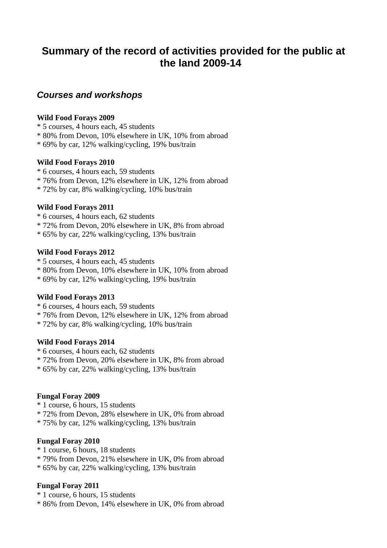# **Summary of the record of activities provided for the public at the land 2009-14**

# *Courses and workshops*

### **Wild Food Forays 2009**

- \* 5 courses, 4 hours each, 45 students
- \* 80% from Devon, 10% elsewhere in UK, 10% from abroad
- \* 69% by car, 12% walking/cycling, 19% bus/train

### **Wild Food Forays 2010**

- \* 6 courses, 4 hours each, 59 students
- \* 76% from Devon, 12% elsewhere in UK, 12% from abroad
- \* 72% by car, 8% walking/cycling, 10% bus/train

### **Wild Food Forays 2011**

- \* 6 courses, 4 hours each, 62 students
- \* 72% from Devon, 20% elsewhere in UK, 8% from abroad
- \* 65% by car, 22% walking/cycling, 13% bus/train

### **Wild Food Forays 2012**

- \* 5 courses, 4 hours each, 45 students
- \* 80% from Devon, 10% elsewhere in UK, 10% from abroad
- \* 69% by car, 12% walking/cycling, 19% bus/train

# **Wild Food Forays 2013**

- \* 6 courses, 4 hours each, 59 students
- \* 76% from Devon, 12% elsewhere in UK, 12% from abroad
- \* 72% by car, 8% walking/cycling, 10% bus/train

# **Wild Food Forays 2014**

- \* 6 courses, 4 hours each, 62 students
- \* 72% from Devon, 20% elsewhere in UK, 8% from abroad
- \* 65% by car, 22% walking/cycling, 13% bus/train

# **Fungal Foray 2009**

- \* 1 course, 6 hours, 15 students
- \* 72% from Devon, 28% elsewhere in UK, 0% from abroad
- \* 75% by car, 12% walking/cycling, 13% bus/train

# **Fungal Foray 2010**

- \* 1 course, 6 hours, 18 students
- \* 79% from Devon, 21% elsewhere in UK, 0% from abroad
- \* 65% by car, 22% walking/cycling, 13% bus/train

# **Fungal Foray 2011**

- \* 1 course, 6 hours, 15 students
- \* 86% from Devon, 14% elsewhere in UK, 0% from abroad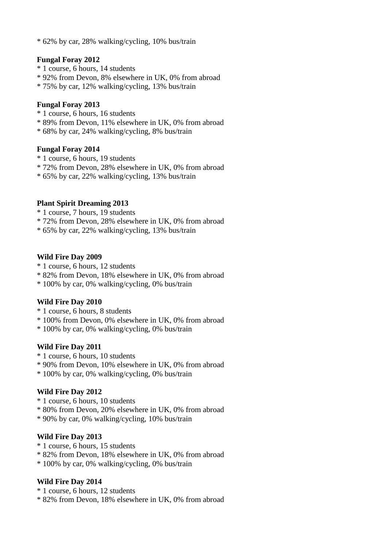\* 62% by car, 28% walking/cycling, 10% bus/train

#### **Fungal Foray 2012**

- \* 1 course, 6 hours, 14 students
- \* 92% from Devon, 8% elsewhere in UK, 0% from abroad
- \* 75% by car, 12% walking/cycling, 13% bus/train

#### **Fungal Foray 2013**

- \* 1 course, 6 hours, 16 students
- \* 89% from Devon, 11% elsewhere in UK, 0% from abroad
- \* 68% by car, 24% walking/cycling, 8% bus/train

#### **Fungal Foray 2014**

- \* 1 course, 6 hours, 19 students
- \* 72% from Devon, 28% elsewhere in UK, 0% from abroad
- \* 65% by car, 22% walking/cycling, 13% bus/train

### **Plant Spirit Dreaming 2013**

- \* 1 course, 7 hours, 19 students
- \* 72% from Devon, 28% elsewhere in UK, 0% from abroad
- \* 65% by car, 22% walking/cycling, 13% bus/train

#### **Wild Fire Day 2009**

- \* 1 course, 6 hours, 12 students
- \* 82% from Devon, 18% elsewhere in UK, 0% from abroad
- \* 100% by car, 0% walking/cycling, 0% bus/train

### **Wild Fire Day 2010**

- \* 1 course, 6 hours, 8 students
- \* 100% from Devon, 0% elsewhere in UK, 0% from abroad
- \* 100% by car, 0% walking/cycling, 0% bus/train

### **Wild Fire Day 2011**

- \* 1 course, 6 hours, 10 students
- \* 90% from Devon, 10% elsewhere in UK, 0% from abroad
- \* 100% by car, 0% walking/cycling, 0% bus/train

### **Wild Fire Day 2012**

- \* 1 course, 6 hours, 10 students
- \* 80% from Devon, 20% elsewhere in UK, 0% from abroad
- \* 90% by car, 0% walking/cycling, 10% bus/train

### **Wild Fire Day 2013**

- \* 1 course, 6 hours, 15 students
- \* 82% from Devon, 18% elsewhere in UK, 0% from abroad
- \* 100% by car, 0% walking/cycling, 0% bus/train

### **Wild Fire Day 2014**

- \* 1 course, 6 hours, 12 students
- \* 82% from Devon, 18% elsewhere in UK, 0% from abroad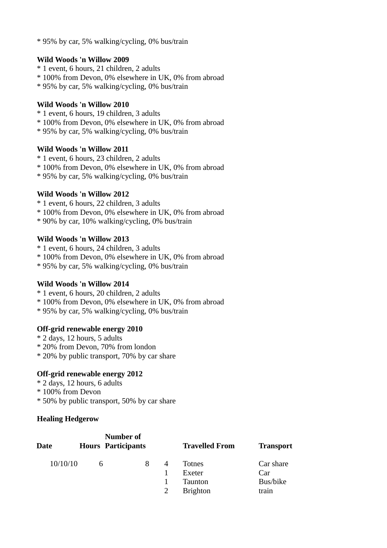\* 95% by car, 5% walking/cycling, 0% bus/train

# **Wild Woods 'n Willow 2009**

- \* 1 event, 6 hours, 21 children, 2 adults
- \* 100% from Devon, 0% elsewhere in UK, 0% from abroad
- \* 95% by car, 5% walking/cycling, 0% bus/train

# **Wild Woods 'n Willow 2010**

- \* 1 event, 6 hours, 19 children, 3 adults
- \* 100% from Devon, 0% elsewhere in UK, 0% from abroad
- \* 95% by car, 5% walking/cycling, 0% bus/train

### **Wild Woods 'n Willow 2011**

- \* 1 event, 6 hours, 23 children, 2 adults
- \* 100% from Devon, 0% elsewhere in UK, 0% from abroad
- \* 95% by car, 5% walking/cycling, 0% bus/train

# **Wild Woods 'n Willow 2012**

- \* 1 event, 6 hours, 22 children, 3 adults
- \* 100% from Devon, 0% elsewhere in UK, 0% from abroad
- \* 90% by car, 10% walking/cycling, 0% bus/train

### **Wild Woods 'n Willow 2013**

- \* 1 event, 6 hours, 24 children, 3 adults
- \* 100% from Devon, 0% elsewhere in UK, 0% from abroad
- \* 95% by car, 5% walking/cycling, 0% bus/train

# **Wild Woods 'n Willow 2014**

- \* 1 event, 6 hours, 20 children, 2 adults
- \* 100% from Devon, 0% elsewhere in UK, 0% from abroad
- \* 95% by car, 5% walking/cycling, 0% bus/train

# **Off-grid renewable energy 2010**

- \* 2 days, 12 hours, 5 adults
- \* 20% from Devon, 70% from london
- \* 20% by public transport, 70% by car share

# **Off-grid renewable energy 2012**

- \* 2 days, 12 hours, 6 adults
- \* 100% from Devon
- \* 50% by public transport, 50% by car share

# **Healing Hedgerow**

| Date     |   | Number of<br><b>Hours Participants</b> |                | <b>Travelled From</b>                                 |                                       | <b>Transport</b> |
|----------|---|----------------------------------------|----------------|-------------------------------------------------------|---------------------------------------|------------------|
| 10/10/10 | 6 |                                        | $\overline{A}$ | Totnes<br>Exeter<br><b>Taunton</b><br><b>Brighton</b> | Car share<br>Car<br>Bus/bike<br>train |                  |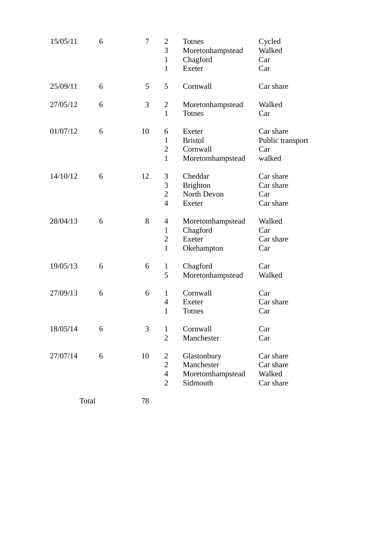| 15/05/11 | 6 | 7  | 2<br>3<br>$\mathbf{1}$<br>$\mathbf{1}$                            | <b>Totnes</b><br>Moretonhampstead<br>Chagford<br><b>Exeter</b> | Cycled<br>Walked<br>Car<br>Car                 |
|----------|---|----|-------------------------------------------------------------------|----------------------------------------------------------------|------------------------------------------------|
| 25/09/11 | 6 | 5  | 5                                                                 | Cornwall                                                       | Car share                                      |
| 27/05/12 | 6 | 3  | 2<br>$\mathbf{1}$                                                 | Moretonhampstead<br><b>Totnes</b>                              | Walked<br>Car                                  |
| 01/07/12 | 6 | 10 | 6<br>$\mathbf{1}$<br>2<br>$\mathbf{1}$                            | Exeter<br><b>Bristol</b><br>Cornwall<br>Moretomhampstead       | Car share<br>Public transport<br>Car<br>walked |
| 14/10/12 | 6 | 12 | 3<br>3<br>$\overline{2}$<br>$\overline{\mathcal{A}}$              | Cheddar<br><b>Brighton</b><br>North Devon<br><b>Exeter</b>     | Car share<br>Car share<br>Car<br>Car share     |
| 28/04/13 | 6 | 8  | 4<br>$\mathbf{1}$<br>2<br>$\mathbf{1}$                            | Moretomhampstead<br>Chagford<br><b>Exeter</b><br>Okehampton    | Walked<br>Car<br>Car share<br>Car              |
| 19/05/13 | 6 | 6  | $\mathbf{1}$<br>5                                                 | Chagford<br>Moretonhampstead                                   | Car<br>Walked                                  |
| 27/09/13 | 6 | 6  | $\mathbf{1}$<br>$\overline{4}$<br>$\mathbf{1}$                    | Cornwall<br><b>Exeter</b><br><b>Totnes</b>                     | Car<br>Car share<br>Car                        |
| 18/05/14 | 6 | 3  | $\mathbf{1}$<br>$\overline{2}$                                    | Cornwall<br>Manchester                                         | Car<br>Car                                     |
| 27/07/14 | 6 | 10 | 2<br>$\overline{2}$<br>$\overline{\mathcal{A}}$<br>$\overline{2}$ | Glastonbury<br>Manchester<br>Moretomhampstead<br>Sidmouth      | Car share<br>Car share<br>Walked<br>Car share  |
| Total    |   | 78 |                                                                   |                                                                |                                                |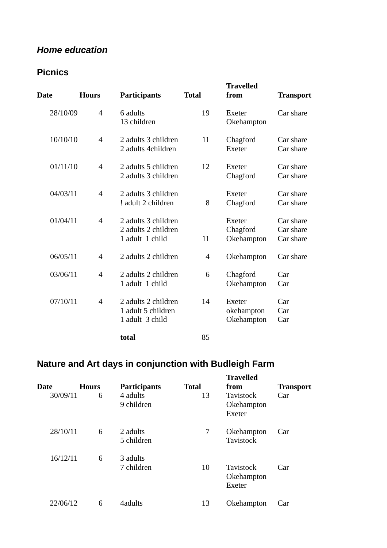# *Home education*

# **Picnics**

| <b>Date</b> | <b>Hours</b>             | <b>Participants</b>                                           | <b>Total</b> | <b>Travelled</b><br>from                | <b>Transport</b>                    |
|-------------|--------------------------|---------------------------------------------------------------|--------------|-----------------------------------------|-------------------------------------|
| 28/10/09    | 4                        | 6 adults<br>13 children                                       | 19           | Exeter<br>Okehampton                    | Car share                           |
| 10/10/10    | $\overline{4}$           | 2 adults 3 children<br>2 adults 4children                     | 11           | Chagford<br>Exeter                      | Car share<br>Car share              |
| 01/11/10    | 4                        | 2 adults 5 children<br>2 adults 3 children                    | 12           | Exeter<br>Chagford                      | Car share<br>Car share              |
| 04/03/11    | $\overline{\mathcal{A}}$ | 2 adults 3 children<br>! adult 2 children                     | 8            | Exeter<br>Chagford                      | Car share<br>Car share              |
| 01/04/11    | $\overline{4}$           | 2 adults 3 children<br>2 adults 2 children<br>1 adult 1 child | 11           | <b>Exeter</b><br>Chagford<br>Okehampton | Car share<br>Car share<br>Car share |
| 06/05/11    | 4                        | 2 adults 2 children                                           | 4            | Okehampton                              | Car share                           |
| 03/06/11    | 4                        | 2 adults 2 children<br>1 adult 1 child                        | 6            | Chagford<br>Okehampton                  | Car<br>Car                          |
| 07/10/11    | 4                        | 2 adults 2 children<br>1 adult 5 children<br>1 adult 3 child  | 14           | Exeter<br>okehampton<br>Okehampton      | Car<br>Car<br>Car                   |
|             |                          | total                                                         | 85           |                                         |                                     |

# **Nature and Art days in conjunction with Budleigh Farm**

| <b>Date</b><br>30/09/11 | <b>Hours</b><br>6 | <b>Participants</b><br>4 adults<br>9 children | <b>Total</b><br>13 | <b>Travelled</b><br>from<br><b>Tavistock</b><br>Okehampton<br>Exeter | <b>Transport</b><br>Car |
|-------------------------|-------------------|-----------------------------------------------|--------------------|----------------------------------------------------------------------|-------------------------|
| 28/10/11                | 6                 | 2 adults<br>5 children                        | 7                  | Okehampton<br><b>Tavistock</b>                                       | Car                     |
| 16/12/11                | 6                 | 3 adults<br>7 children                        | 10                 | <b>Tavistock</b><br>Okehampton<br><b>Exeter</b>                      | Car                     |
| 22/06/12                | 6                 | 4adults                                       | 13                 | Okehampton                                                           | Car                     |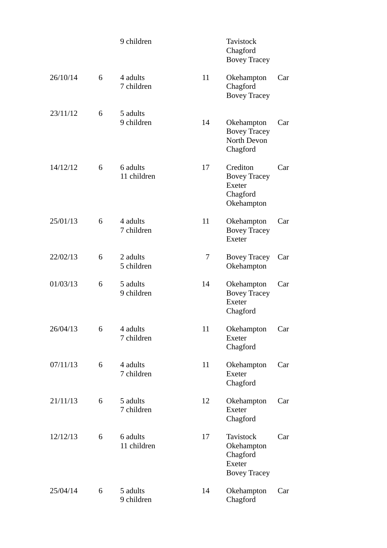|          |   | 9 children              |    | <b>Tavistock</b><br>Chagford<br><b>Bovey Tracey</b>                                |     |
|----------|---|-------------------------|----|------------------------------------------------------------------------------------|-----|
| 26/10/14 | 6 | 4 adults<br>7 children  | 11 | Okehampton<br>Chagford<br><b>Bovey Tracey</b>                                      | Car |
| 23/11/12 | 6 | 5 adults<br>9 children  | 14 | Okehampton<br><b>Bovey Tracey</b><br>North Devon<br>Chagford                       | Car |
| 14/12/12 | 6 | 6 adults<br>11 children | 17 | Crediton<br><b>Bovey Tracey</b><br><b>Exeter</b><br>Chagford<br>Okehampton         | Car |
| 25/01/13 | 6 | 4 adults<br>7 children  | 11 | Okehampton<br><b>Bovey Tracey</b><br><b>Exeter</b>                                 | Car |
| 22/02/13 | 6 | 2 adults<br>5 children  | 7  | <b>Bovey Tracey</b><br>Okehampton                                                  | Car |
| 01/03/13 | 6 | 5 adults<br>9 children  | 14 | Okehampton<br><b>Bovey Tracey</b><br><b>Exeter</b><br>Chagford                     | Car |
| 26/04/13 | 6 | 4 adults<br>7 children  | 11 | Okehampton<br><b>Exeter</b><br>Chagford                                            | Car |
| 07/11/13 | 6 | 4 adults<br>7 children  | 11 | Okehampton<br><b>Exeter</b><br>Chagford                                            | Car |
| 21/11/13 | 6 | 5 adults<br>7 children  | 12 | Okehampton<br><b>Exeter</b><br>Chagford                                            | Car |
| 12/12/13 | 6 | 6 adults<br>11 children | 17 | <b>Tavistock</b><br>Okehampton<br>Chagford<br><b>Exeter</b><br><b>Bovey Tracey</b> | Car |
| 25/04/14 | 6 | 5 adults<br>9 children  | 14 | Okehampton<br>Chagford                                                             | Car |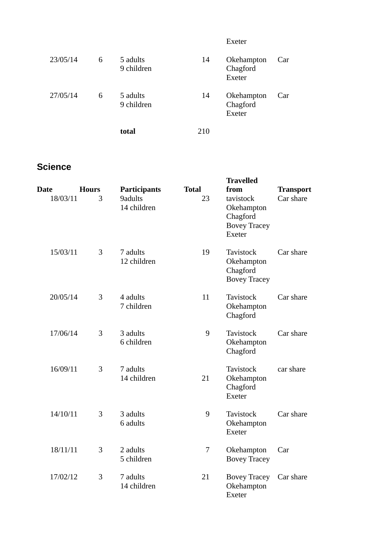|          |   |                        |     | Exeter                           |     |
|----------|---|------------------------|-----|----------------------------------|-----|
| 23/05/14 | 6 | 5 adults<br>9 children | 14  | Okehampton<br>Chagford<br>Exeter | Car |
| 27/05/14 | 6 | 5 adults<br>9 children | 14  | Okehampton<br>Chagford<br>Exeter | Car |
|          |   | total                  | 210 |                                  |     |

# **Science**

| Date<br>18/03/11 | <b>Hours</b><br>3 | <b>Participants</b><br>9adults | <b>Total</b><br>23 | <b>Travelled</b><br>from<br>tavistock                             | <b>Transport</b><br>Car share |
|------------------|-------------------|--------------------------------|--------------------|-------------------------------------------------------------------|-------------------------------|
|                  |                   | 14 children                    |                    | Okehampton<br>Chagford<br><b>Bovey Tracey</b><br><b>Exeter</b>    |                               |
| 15/03/11         | 3                 | 7 adults<br>12 children        | 19                 | <b>Tavistock</b><br>Okehampton<br>Chagford<br><b>Bovey Tracey</b> | Car share                     |
| 20/05/14         | 3                 | 4 adults<br>7 children         | 11                 | <b>Tavistock</b><br>Okehampton<br>Chagford                        | Car share                     |
| 17/06/14         | 3                 | 3 adults<br>6 children         | 9                  | <b>Tavistock</b><br>Okehampton<br>Chagford                        | Car share                     |
| 16/09/11         | 3                 | 7 adults<br>14 children        | 21                 | <b>Tavistock</b><br>Okehampton<br>Chagford<br><b>Exeter</b>       | car share                     |
| 14/10/11         | 3                 | 3 adults<br>6 adults           | 9                  | <b>Tavistock</b><br>Okehampton<br>Exeter                          | Car share                     |
| 18/11/11         | 3                 | 2 adults<br>5 children         | 7                  | Okehampton<br><b>Bovey Tracey</b>                                 | Car                           |
| 17/02/12         | 3                 | 7 adults<br>14 children        | 21                 | <b>Bovey Tracey</b><br>Okehampton<br>Exeter                       | Car share                     |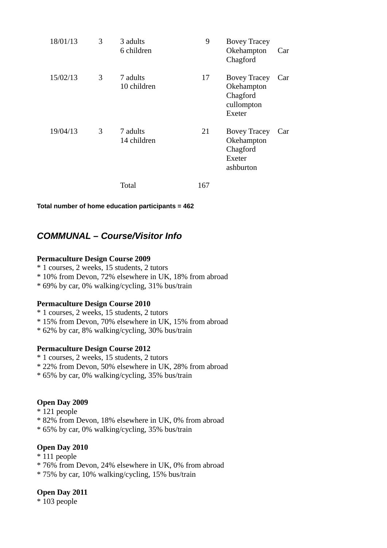| 18/01/13 | 3 | 3 adults<br>6 children  | 9   | <b>Bovey Tracey</b><br>Okehampton<br>Chagford                                | Car |
|----------|---|-------------------------|-----|------------------------------------------------------------------------------|-----|
| 15/02/13 | 3 | 7 adults<br>10 children | 17  | <b>Bovey Tracey</b><br>Okehampton<br>Chagford<br>cullompton<br><b>Exeter</b> | Car |
| 19/04/13 | 3 | 7 adults<br>14 children | 21  | <b>Bovey Tracey</b><br>Okehampton<br>Chagford<br>Exeter<br>ashburton         | Car |
|          |   | <b>Total</b>            | 167 |                                                                              |     |

**Total number of home education participants = 462** 

# *COMMUNAL – Course/Visitor Info*

### **Permaculture Design Course 2009**

- \* 1 courses, 2 weeks, 15 students, 2 tutors
- \* 10% from Devon, 72% elsewhere in UK, 18% from abroad
- \* 69% by car, 0% walking/cycling, 31% bus/train

# **Permaculture Design Course 2010**

- \* 1 courses, 2 weeks, 15 students, 2 tutors
- \* 15% from Devon, 70% elsewhere in UK, 15% from abroad
- \* 62% by car, 8% walking/cycling, 30% bus/train

# **Permaculture Design Course 2012**

- \* 1 courses, 2 weeks, 15 students, 2 tutors
- \* 22% from Devon, 50% elsewhere in UK, 28% from abroad
- \* 65% by car, 0% walking/cycling, 35% bus/train

# **Open Day 2009**

- \* 121 people
- \* 82% from Devon, 18% elsewhere in UK, 0% from abroad
- \* 65% by car, 0% walking/cycling, 35% bus/train

# **Open Day 2010**

- \* 111 people
- \* 76% from Devon, 24% elsewhere in UK, 0% from abroad
- \* 75% by car, 10% walking/cycling, 15% bus/train

# **Open Day 2011**

\* 103 people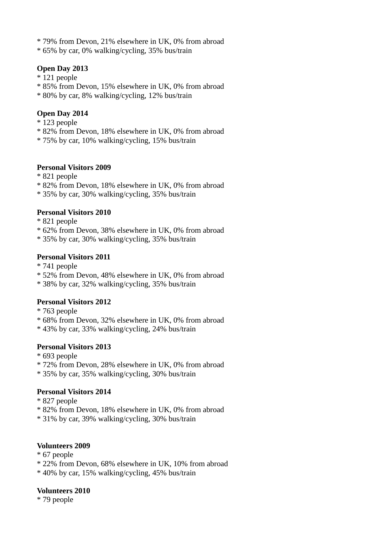- \* 79% from Devon, 21% elsewhere in UK, 0% from abroad
- \* 65% by car, 0% walking/cycling, 35% bus/train

# **Open Day 2013**

- \* 121 people
- \* 85% from Devon, 15% elsewhere in UK, 0% from abroad
- \* 80% by car, 8% walking/cycling, 12% bus/train

# **Open Day 2014**

- \* 123 people
- \* 82% from Devon, 18% elsewhere in UK, 0% from abroad
- \* 75% by car, 10% walking/cycling, 15% bus/train

### **Personal Visitors 2009**

- \* 821 people
- \* 82% from Devon, 18% elsewhere in UK, 0% from abroad
- \* 35% by car, 30% walking/cycling, 35% bus/train

### **Personal Visitors 2010**

- \* 821 people
- \* 62% from Devon, 38% elsewhere in UK, 0% from abroad
- \* 35% by car, 30% walking/cycling, 35% bus/train

### **Personal Visitors 2011**

- \* 741 people
- \* 52% from Devon, 48% elsewhere in UK, 0% from abroad
- \* 38% by car, 32% walking/cycling, 35% bus/train

# **Personal Visitors 2012**

- \* 763 people
- \* 68% from Devon, 32% elsewhere in UK, 0% from abroad
- \* 43% by car, 33% walking/cycling, 24% bus/train

# **Personal Visitors 2013**

- \* 693 people
- \* 72% from Devon, 28% elsewhere in UK, 0% from abroad
- \* 35% by car, 35% walking/cycling, 30% bus/train

# **Personal Visitors 2014**

- \* 827 people
- \* 82% from Devon, 18% elsewhere in UK, 0% from abroad
- \* 31% by car, 39% walking/cycling, 30% bus/train

# **Volunteers 2009**

- \* 67 people
- \* 22% from Devon, 68% elsewhere in UK, 10% from abroad
- \* 40% by car, 15% walking/cycling, 45% bus/train

### **Volunteers 2010**

\* 79 people